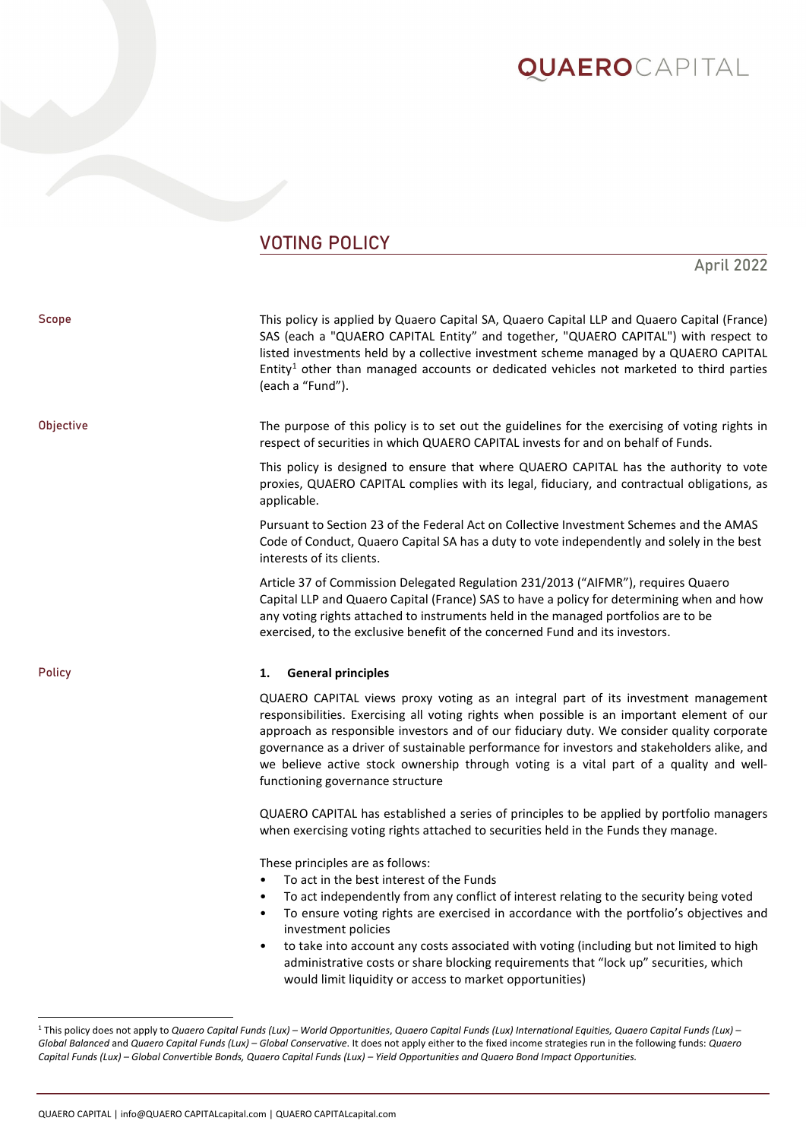### VOTING POLICY

### April 2022

| Scope            | This policy is applied by Quaero Capital SA, Quaero Capital LLP and Quaero Capital (France)<br>SAS (each a "QUAERO CAPITAL Entity" and together, "QUAERO CAPITAL") with respect to<br>listed investments held by a collective investment scheme managed by a QUAERO CAPITAL<br>Entity <sup>1</sup> other than managed accounts or dedicated vehicles not marketed to third parties<br>(each a "Fund").                                                                                                        |
|------------------|---------------------------------------------------------------------------------------------------------------------------------------------------------------------------------------------------------------------------------------------------------------------------------------------------------------------------------------------------------------------------------------------------------------------------------------------------------------------------------------------------------------|
| <b>Objective</b> | The purpose of this policy is to set out the guidelines for the exercising of voting rights in<br>respect of securities in which QUAERO CAPITAL invests for and on behalf of Funds.                                                                                                                                                                                                                                                                                                                           |
|                  | This policy is designed to ensure that where QUAERO CAPITAL has the authority to vote<br>proxies, QUAERO CAPITAL complies with its legal, fiduciary, and contractual obligations, as<br>applicable.                                                                                                                                                                                                                                                                                                           |
|                  | Pursuant to Section 23 of the Federal Act on Collective Investment Schemes and the AMAS<br>Code of Conduct, Quaero Capital SA has a duty to vote independently and solely in the best<br>interests of its clients.                                                                                                                                                                                                                                                                                            |
|                  | Article 37 of Commission Delegated Regulation 231/2013 ("AIFMR"), requires Quaero<br>Capital LLP and Quaero Capital (France) SAS to have a policy for determining when and how<br>any voting rights attached to instruments held in the managed portfolios are to be<br>exercised, to the exclusive benefit of the concerned Fund and its investors.                                                                                                                                                          |
|                  |                                                                                                                                                                                                                                                                                                                                                                                                                                                                                                               |
| <b>Policy</b>    | 1.<br><b>General principles</b>                                                                                                                                                                                                                                                                                                                                                                                                                                                                               |
|                  | QUAERO CAPITAL views proxy voting as an integral part of its investment management<br>responsibilities. Exercising all voting rights when possible is an important element of our<br>approach as responsible investors and of our fiduciary duty. We consider quality corporate<br>governance as a driver of sustainable performance for investors and stakeholders alike, and<br>we believe active stock ownership through voting is a vital part of a quality and well-<br>functioning governance structure |
|                  | QUAERO CAPITAL has established a series of principles to be applied by portfolio managers<br>when exercising voting rights attached to securities held in the Funds they manage.                                                                                                                                                                                                                                                                                                                              |

QUAERO CAPITAL | info@QUAERO CAPITALcapital.com | QUAERO CAPITALcapital.com

<span id="page-0-0"></span><sup>1</sup> This policy does not apply to *Quaero Capital Funds (Lux) – World Opportunities*, *Quaero Capital Funds (Lux) International Equities, Quaero Capital Funds (Lux) – Global Balanced* and *Quaero Capital Funds (Lux) – Global Conservative*. It does not apply either to the fixed income strategies run in the following funds: *Quaero Capital Funds (Lux) – Global Convertible Bonds, Quaero Capital Funds (Lux) – Yield Opportunities and Quaero Bond Impact Opportunities.*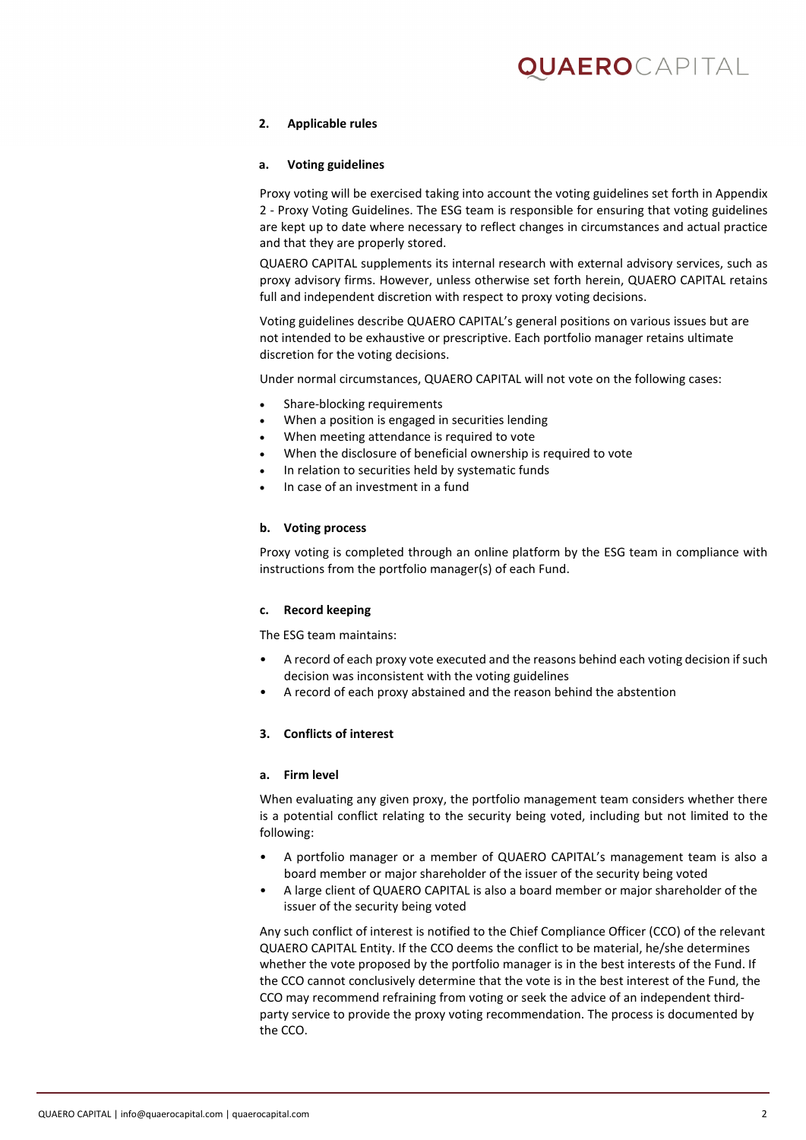# )UAEROcapital

#### **2. Applicable rules**

#### **a. Voting guidelines**

Proxy voting will be exercised taking into account the voting guidelines set forth in Appendix 2 - Proxy Voting Guidelines. The ESG team is responsible for ensuring that voting guidelines are kept up to date where necessary to reflect changes in circumstances and actual practice and that they are properly stored.

QUAERO CAPITAL supplements its internal research with external advisory services, such as proxy advisory firms. However, unless otherwise set forth herein, QUAERO CAPITAL retains full and independent discretion with respect to proxy voting decisions.

Voting guidelines describe QUAERO CAPITAL's general positions on various issues but are not intended to be exhaustive or prescriptive. Each portfolio manager retains ultimate discretion for the voting decisions.

Under normal circumstances, QUAERO CAPITAL will not vote on the following cases:

- Share-blocking requirements
- When a position is engaged in securities lending
- When meeting attendance is required to vote
- When the disclosure of beneficial ownership is required to vote
- In relation to securities held by systematic funds
- In case of an investment in a fund

#### **b. Voting process**

Proxy voting is completed through an online platform by the ESG team in compliance with instructions from the portfolio manager(s) of each Fund.

#### **c. Record keeping**

The ESG team maintains:

- A record of each proxy vote executed and the reasons behind each voting decision if such decision was inconsistent with the voting guidelines
- A record of each proxy abstained and the reason behind the abstention

#### **3. Conflicts of interest**

#### **a. Firm level**

When evaluating any given proxy, the portfolio management team considers whether there is a potential conflict relating to the security being voted, including but not limited to the following:

- A portfolio manager or a member of QUAERO CAPITAL's management team is also a board member or major shareholder of the issuer of the security being voted
- A large client of QUAERO CAPITAL is also a board member or major shareholder of the issuer of the security being voted

Any such conflict of interest is notified to the Chief Compliance Officer (CCO) of the relevant QUAERO CAPITAL Entity. If the CCO deems the conflict to be material, he/she determines whether the vote proposed by the portfolio manager is in the best interests of the Fund. If the CCO cannot conclusively determine that the vote is in the best interest of the Fund, the CCO may recommend refraining from voting or seek the advice of an independent thirdparty service to provide the proxy voting recommendation. The process is documented by the CCO.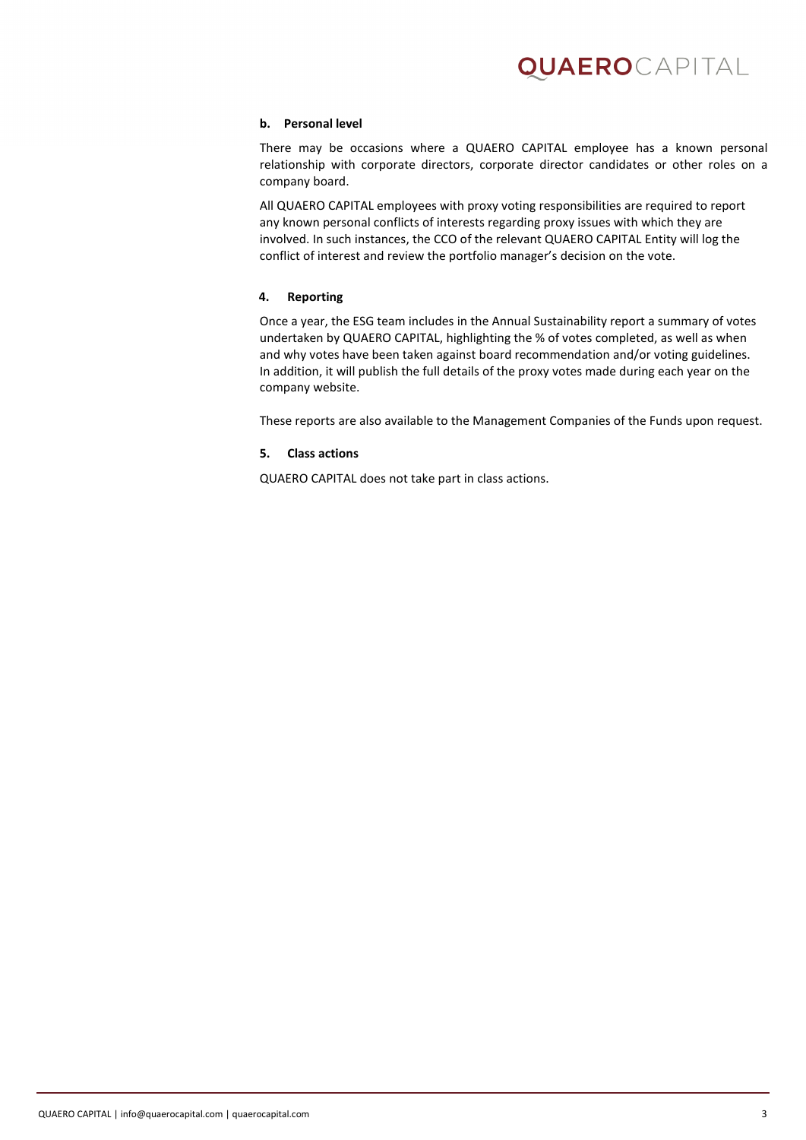#### **b. Personal level**

There may be occasions where a QUAERO CAPITAL employee has a known personal relationship with corporate directors, corporate director candidates or other roles on a company board.

All QUAERO CAPITAL employees with proxy voting responsibilities are required to report any known personal conflicts of interests regarding proxy issues with which they are involved. In such instances, the CCO of the relevant QUAERO CAPITAL Entity will log the conflict of interest and review the portfolio manager's decision on the vote.

#### **4. Reporting**

Once a year, the ESG team includes in the Annual Sustainability report a summary of votes undertaken by QUAERO CAPITAL, highlighting the % of votes completed, as well as when and why votes have been taken against board recommendation and/or voting guidelines. In addition, it will publish the full details of the proxy votes made during each year on the company website.

These reports are also available to the Management Companies of the Funds upon request.

#### **5. Class actions**

QUAERO CAPITAL does not take part in class actions.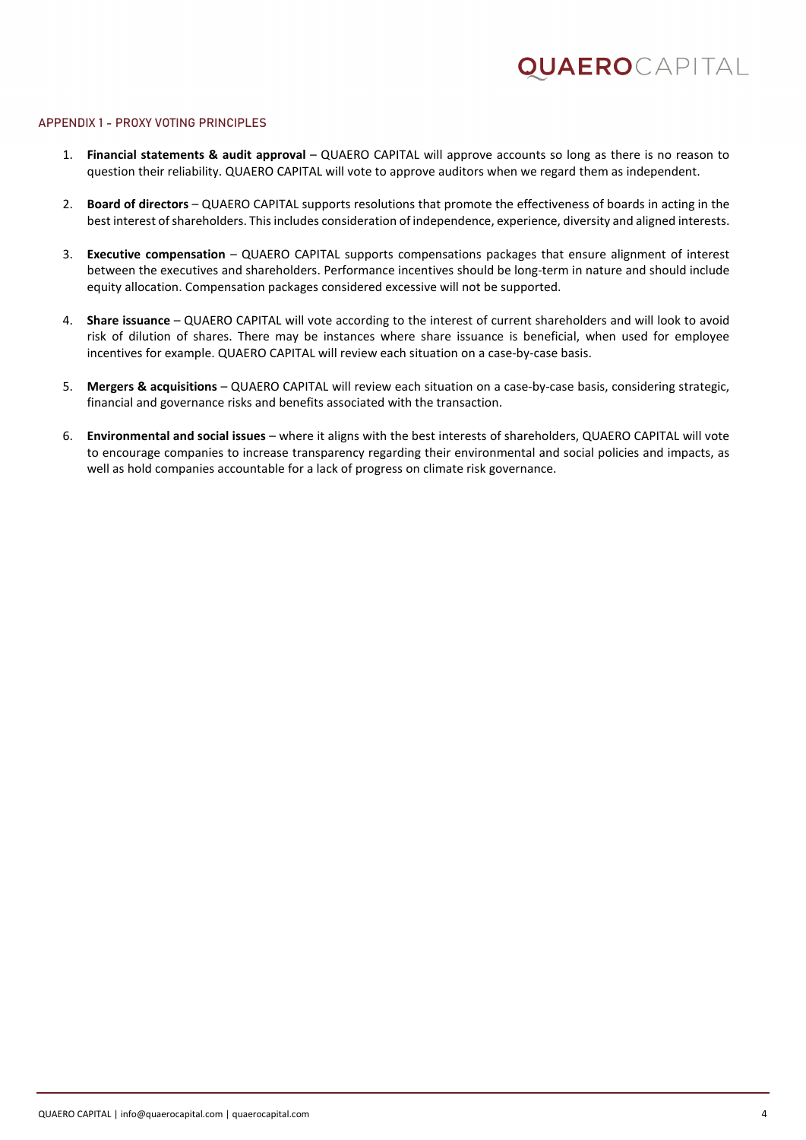#### APPENDIX 1 - PROXY VOTING PRINCIPLES

- 1. **Financial statements & audit approval** QUAERO CAPITAL will approve accounts so long as there is no reason to question their reliability. QUAERO CAPITAL will vote to approve auditors when we regard them as independent.
- 2. **Board of directors** QUAERO CAPITAL supports resolutions that promote the effectiveness of boards in acting in the best interest of shareholders. This includes consideration of independence, experience, diversity and aligned interests.
- 3. **Executive compensation** QUAERO CAPITAL supports compensations packages that ensure alignment of interest between the executives and shareholders. Performance incentives should be long-term in nature and should include equity allocation. Compensation packages considered excessive will not be supported.
- 4. **Share issuance** QUAERO CAPITAL will vote according to the interest of current shareholders and will look to avoid risk of dilution of shares. There may be instances where share issuance is beneficial, when used for employee incentives for example. QUAERO CAPITAL will review each situation on a case-by-case basis.
- 5. **Mergers & acquisitions** QUAERO CAPITAL will review each situation on a case-by-case basis, considering strategic, financial and governance risks and benefits associated with the transaction.
- 6. **Environmental and social issues** where it aligns with the best interests of shareholders, QUAERO CAPITAL will vote to encourage companies to increase transparency regarding their environmental and social policies and impacts, as well as hold companies accountable for a lack of progress on climate risk governance.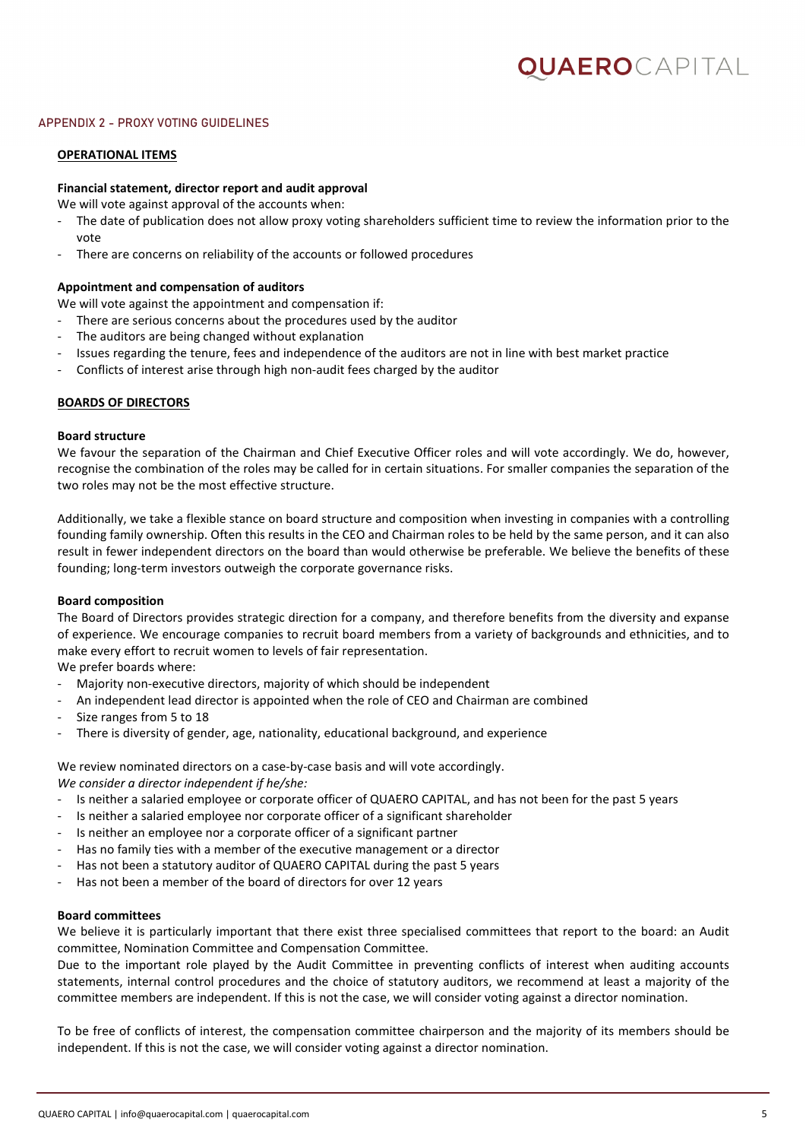#### APPENDIX 2 - PROXY VOTING GUIDELINES

#### **OPERATIONAL ITEMS**

#### **Financial statement, director report and audit approval**

We will vote against approval of the accounts when:

- The date of publication does not allow proxy voting shareholders sufficient time to review the information prior to the vote
- There are concerns on reliability of the accounts or followed procedures

#### **Appointment and compensation of auditors**

We will vote against the appointment and compensation if:

- There are serious concerns about the procedures used by the auditor
- The auditors are being changed without explanation
- Issues regarding the tenure, fees and independence of the auditors are not in line with best market practice
- Conflicts of interest arise through high non-audit fees charged by the auditor

#### **BOARDS OF DIRECTORS**

#### **Board structure**

We favour the separation of the Chairman and Chief Executive Officer roles and will vote accordingly. We do, however, recognise the combination of the roles may be called for in certain situations. For smaller companies the separation of the two roles may not be the most effective structure.

Additionally, we take a flexible stance on board structure and composition when investing in companies with a controlling founding family ownership. Often this results in the CEO and Chairman roles to be held by the same person, and it can also result in fewer independent directors on the board than would otherwise be preferable. We believe the benefits of these founding; long-term investors outweigh the corporate governance risks.

#### **Board composition**

The Board of Directors provides strategic direction for a company, and therefore benefits from the diversity and expanse of experience. We encourage companies to recruit board members from a variety of backgrounds and ethnicities, and to make every effort to recruit women to levels of fair representation.

We prefer boards where:

- Majority non-executive directors, majority of which should be independent
- An independent lead director is appointed when the role of CEO and Chairman are combined
- Size ranges from 5 to 18
- There is diversity of gender, age, nationality, educational background, and experience

We review nominated directors on a case-by-case basis and will vote accordingly.

*We consider a director independent if he/she:*

- Is neither a salaried employee or corporate officer of QUAERO CAPITAL, and has not been for the past 5 years
- Is neither a salaried employee nor corporate officer of a significant shareholder
- Is neither an employee nor a corporate officer of a significant partner
- Has no family ties with a member of the executive management or a director
- Has not been a statutory auditor of QUAERO CAPITAL during the past 5 years
- Has not been a member of the board of directors for over 12 years

#### **Board committees**

We believe it is particularly important that there exist three specialised committees that report to the board: an Audit committee, Nomination Committee and Compensation Committee.

Due to the important role played by the Audit Committee in preventing conflicts of interest when auditing accounts statements, internal control procedures and the choice of statutory auditors, we recommend at least a majority of the committee members are independent. If this is not the case, we will consider voting against a director nomination.

To be free of conflicts of interest, the compensation committee chairperson and the majority of its members should be independent. If this is not the case, we will consider voting against a director nomination.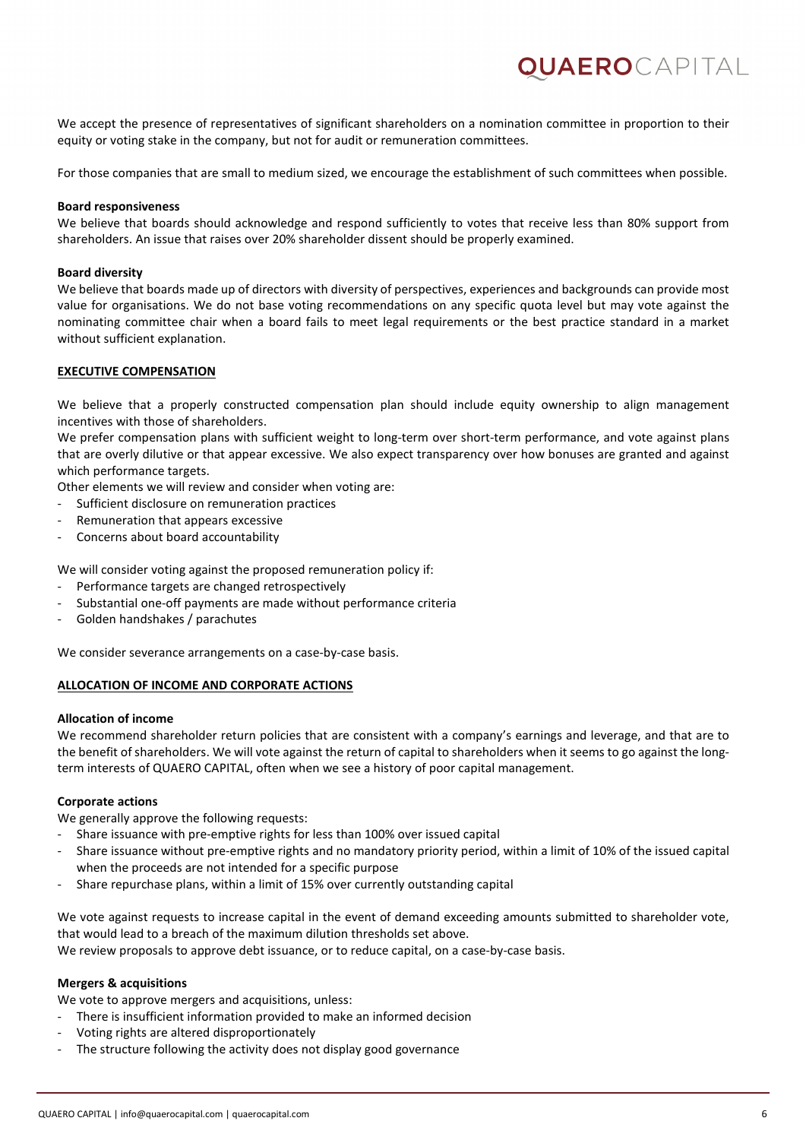We accept the presence of representatives of significant shareholders on a nomination committee in proportion to their equity or voting stake in the company, but not for audit or remuneration committees.

QUAEROCAPITAL

For those companies that are small to medium sized, we encourage the establishment of such committees when possible.

#### **Board responsiveness**

We believe that boards should acknowledge and respond sufficiently to votes that receive less than 80% support from shareholders. An issue that raises over 20% shareholder dissent should be properly examined.

#### **Board diversity**

We believe that boards made up of directors with diversity of perspectives, experiences and backgrounds can provide most value for organisations. We do not base voting recommendations on any specific quota level but may vote against the nominating committee chair when a board fails to meet legal requirements or the best practice standard in a market without sufficient explanation.

#### **EXECUTIVE COMPENSATION**

We believe that a properly constructed compensation plan should include equity ownership to align management incentives with those of shareholders.

We prefer compensation plans with sufficient weight to long-term over short-term performance, and vote against plans that are overly dilutive or that appear excessive. We also expect transparency over how bonuses are granted and against which performance targets.

Other elements we will review and consider when voting are:

- Sufficient disclosure on remuneration practices
- Remuneration that appears excessive
- Concerns about board accountability

We will consider voting against the proposed remuneration policy if:

- Performance targets are changed retrospectively
- Substantial one-off payments are made without performance criteria
- Golden handshakes / parachutes

We consider severance arrangements on a case-by-case basis.

#### **ALLOCATION OF INCOME AND CORPORATE ACTIONS**

#### **Allocation of income**

We recommend shareholder return policies that are consistent with a company's earnings and leverage, and that are to the benefit of shareholders. We will vote against the return of capital to shareholders when it seems to go against the longterm interests of QUAERO CAPITAL, often when we see a history of poor capital management.

#### **Corporate actions**

We generally approve the following requests:

- Share issuance with pre-emptive rights for less than 100% over issued capital
- Share issuance without pre-emptive rights and no mandatory priority period, within a limit of 10% of the issued capital when the proceeds are not intended for a specific purpose
- Share repurchase plans, within a limit of 15% over currently outstanding capital

We vote against requests to increase capital in the event of demand exceeding amounts submitted to shareholder vote, that would lead to a breach of the maximum dilution thresholds set above. We review proposals to approve debt issuance, or to reduce capital, on a case-by-case basis.

#### **Mergers & acquisitions**

We vote to approve mergers and acquisitions, unless:

- There is insufficient information provided to make an informed decision
- Voting rights are altered disproportionately
- The structure following the activity does not display good governance